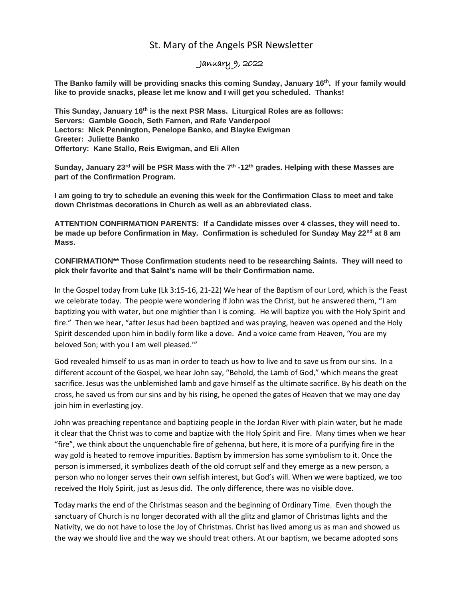## St. Mary of the Angels PSR Newsletter

## January 9, 2022

**The Banko family will be providing snacks this coming Sunday, January 16th. If your family would like to provide snacks, please let me know and I will get you scheduled. Thanks!**

**This Sunday, January 16th is the next PSR Mass. Liturgical Roles are as follows: Servers: Gamble Gooch, Seth Farnen, and Rafe Vanderpool Lectors: Nick Pennington, Penelope Banko, and Blayke Ewigman Greeter: Juliette Banko Offertory: Kane Stallo, Reis Ewigman, and Eli Allen**

**Sunday, January 23rd will be PSR Mass with the 7th -12th grades. Helping with these Masses are part of the Confirmation Program.**

**I am going to try to schedule an evening this week for the Confirmation Class to meet and take down Christmas decorations in Church as well as an abbreviated class.** 

**ATTENTION CONFIRMATION PARENTS: If a Candidate misses over 4 classes, they will need to. be made up before Confirmation in May. Confirmation is scheduled for Sunday May 22nd at 8 am Mass.** 

**CONFIRMATION\*\* Those Confirmation students need to be researching Saints. They will need to pick their favorite and that Saint's name will be their Confirmation name.**

In the Gospel today from Luke (Lk 3:15-16, 21-22) We hear of the Baptism of our Lord, which is the Feast we celebrate today. The people were wondering if John was the Christ, but he answered them, "I am baptizing you with water, but one mightier than I is coming. He will baptize you with the Holy Spirit and fire." Then we hear, "after Jesus had been baptized and was praying, heaven was opened and the Holy Spirit descended upon him in bodily form like a dove. And a voice came from Heaven, 'You are my beloved Son; with you I am well pleased.'"

God revealed himself to us as man in order to teach us how to live and to save us from our sins. In a different account of the Gospel, we hear John say, "Behold, the Lamb of God," which means the great sacrifice. Jesus was the unblemished lamb and gave himself as the ultimate sacrifice. By his death on the cross, he saved us from our sins and by his rising, he opened the gates of Heaven that we may one day join him in everlasting joy.

John was preaching repentance and baptizing people in the Jordan River with plain water, but he made it clear that the Christ was to come and baptize with the Holy Spirit and Fire. Many times when we hear "fire", we think about the unquenchable fire of gehenna, but here, it is more of a purifying fire in the way gold is heated to remove impurities. Baptism by immersion has some symbolism to it. Once the person is immersed, it symbolizes death of the old corrupt self and they emerge as a new person, a person who no longer serves their own selfish interest, but God's will. When we were baptized, we too received the Holy Spirit, just as Jesus did. The only difference, there was no visible dove.

Today marks the end of the Christmas season and the beginning of Ordinary Time. Even though the sanctuary of Church is no longer decorated with all the glitz and glamor of Christmas lights and the Nativity, we do not have to lose the Joy of Christmas. Christ has lived among us as man and showed us the way we should live and the way we should treat others. At our baptism, we became adopted sons